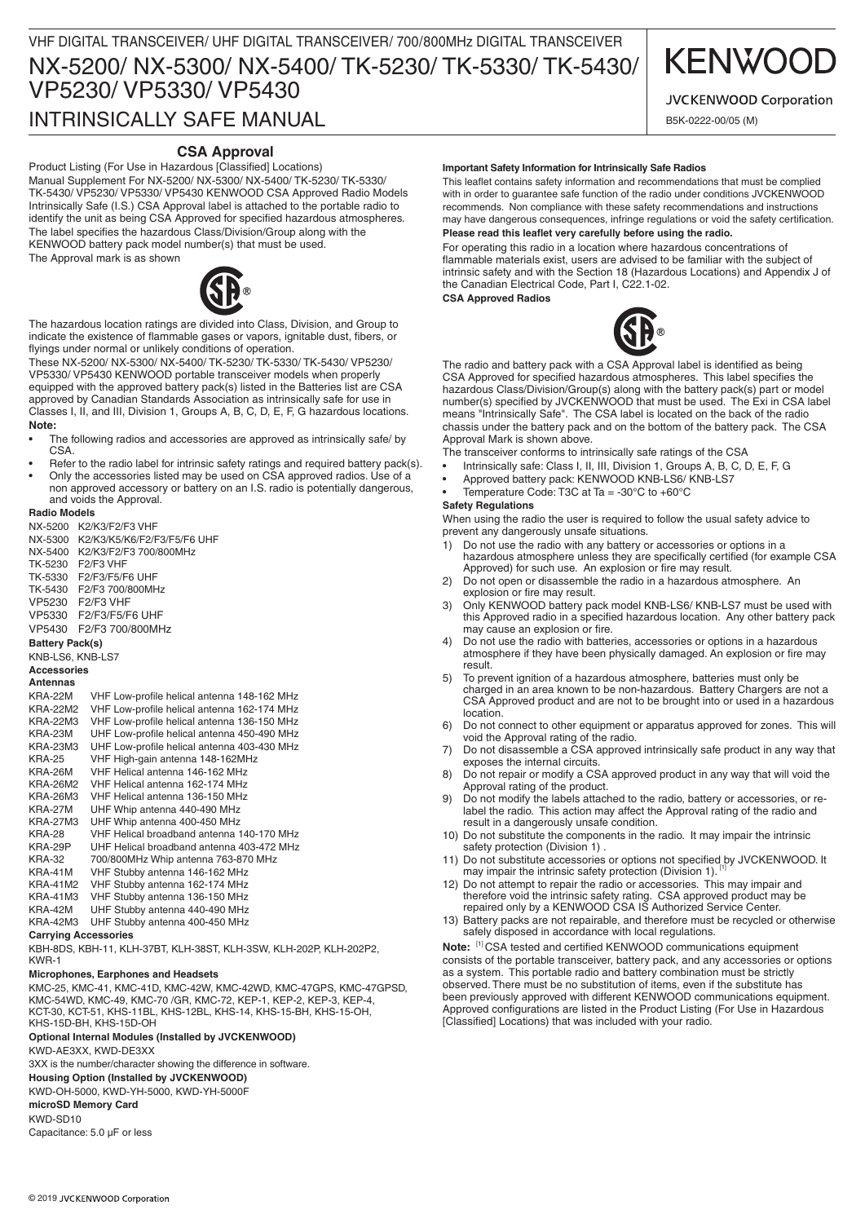# INTRINSICALLY SAFE MANUAL

# **CSA Approval**

Product Listing (For Use in Hazardous [Classified] Locations) Manual Supplement For NX-5200/ NX-5300/ NX-5400/ TK-5230/ TK-5330/ TK-5430/ VP5230/ VP5330/ VP5430 KENWOOD CSA Approved Radio Models Intrinsically Safe (I.S.) CSA Approval label is attached to the portable radio to identify the unit as being CSA Approved for specified hazardous atmospheres. The label specifies the hazardous Class/Division/Group along with the KENWOOD battery pack model number(s) that must be used.

The Approval mark is as shown



The hazardous location ratings are divided into Class, Division, and Group to indicate the existence of flammable gases or vapors, ignitable dust, fibers, or flyings under normal or unlikely conditions of operation.

These NX-5200/ NX-5300/ NX-5400/ TK-5230/ TK-5330/ TK-5430/ VP5230/ VP5330/ VP5430 KENWOOD portable transceiver models when properly equipped with the approved battery pack(s) listed in the Batteries list are CSA approved by Canadian Standards Association as intrinsically safe for use in Classes I, II, and III, Division 1, Groups A, B, C, D, E, F, G hazardous locations. **Note:** 

- The following radios and accessories are approved as intrinsically safe/ by CSA.
- Refer to the radio label for intrinsic safety ratings and required battery pack(s).
- Only the accessories listed may be used on CSA approved radios. Use of a non approved accessory or battery on an I.S. radio is potentially dangerous, and voids the Approval.

### **Radio Models**

| בוסטטועו טווטמו                                                |
|----------------------------------------------------------------|
| K2/K3/F2/F3 VHF                                                |
| K2/K3/K5/K6/F2/F3/F5/F6 UHF                                    |
| K2/K3/F2/F3 700/800MHz                                         |
| F <sub>2</sub> /F <sub>3</sub> VHF                             |
| F2/F3/F5/F6 UHF                                                |
| F2/F3 700/800MHz                                               |
| F <sub>2</sub> /F <sub>3</sub> VHF                             |
| F2/F3/F5/F6 UHF                                                |
| F2/F3 700/800MHz                                               |
| <b>Battery Pack(s)</b>                                         |
| KNB-LS6, KNB-LS7                                               |
| <b>Accessories</b>                                             |
|                                                                |
| VHF Low-profile helical antenna 148-162 MHz                    |
| <b>KRA-22M2</b><br>VHF Low-profile helical antenna 162-174 MHz |
| VHF Low-profile helical antenna 136-150 MHz<br><b>KRA-22M3</b> |
| UHF Low-profile helical antenna 450-490 MHz                    |
| UHF Low-profile helical antenna 403-430 MHz<br>KRA-23M3        |
| VHF High-gain antenna 148-162MHz                               |
| VHF Helical antenna 146-162 MHz                                |
| <b>KRA-26M2</b><br>VHF Helical antenna 162-174 MHz             |
| <b>KRA-26M3</b><br>VHF Helical antenna 136-150 MHz             |
| UHF Whip antenna 440-490 MHz                                   |
| UHF Whip antenna 400-450 MHz<br><b>KRA-27M3</b>                |
| VHF Helical broadband antenna 140-170 MHz                      |
| UHF Helical broadband antenna 403-472 MHz                      |
| 700/800MHz Whip antenna 763-870 MHz                            |
| VHF Stubby antenna 146-162 MHz                                 |
| <b>KRA-41M2</b><br>VHF Stubby antenna 162-174 MHz              |
| <b>KRA-41M3</b><br>VHF Stubby antenna 136-150 MHz              |
| UHF Stubby antenna 440-490 MHz                                 |
| <b>KRA-42M3</b><br>UHF Stubby antenna 400-450 MHz              |
|                                                                |

## **Carrying Accessories**

KBH-8DS, KBH-11, KLH-37BT, KLH-38ST, KLH-3SW, KLH-202P, KLH-202P2, KWR-1

#### **Microphones, Earphones and Headsets**

KMC-25, KMC-41, KMC-41D, KMC-42W, KMC-42WD, KMC-47GPS, KMC-47GPSD, KMC-54WD, KMC-49, KMC-70 /GR, KMC-72, KEP-1, KEP-2, KEP-3, KEP-4, KCT-30, KCT-51, KHS-11BL, KHS-12BL, KHS-14, KHS-15-BH, KHS-15-OH, KHS-15D-BH, KHS-15D-OH

# **Optional Internal Modules (Installed by JVCKENWOOD)**

KWD-AE3XX, KWD-DE3XX

3XX is the number/character showing the difference in software.

# **Housing Option (Installed by JVCKENWOOD)**

KWD-OH-5000, KWD-YH-5000, KWD-YH-5000F

# **microSD Memory Card**

KWD-SD10 Capacitance: 5.0 μF or less

### **Important Safety Information for Intrinsically Safe Radios**

This leaflet contains safety information and recommendations that must be complied with in order to guarantee safe function of the radio under conditions JVCKENWOOD recommends. Non compliance with these safety recommendations and instructions may have dangerous consequences, infringe regulations or void the safety certification. **Please read this leaflet very carefully before using the radio.**

For operating this radio in a location where hazardous concentrations of flammable materials exist, users are advised to be familiar with the subject of intrinsic safety and with the Section 18 (Hazardous Locations) and Appendix J of the Canadian Electrical Code, Part I, C22.1-02. **CSA Approved Radios**





The radio and battery pack with a CSA Approval label is identified as being CSA Approved for specified hazardous atmospheres. This label specifies the hazardous Class/Division/Group(s) along with the battery pack(s) part or model number(s) specified by JVCKENWOOD that must be used. The Exi in CSA label means "Intrinsically Safe". The CSA label is located on the back of the radio chassis under the battery pack and on the bottom of the battery pack. The CSA Approval Mark is shown above.

The transceiver conforms to intrinsically safe ratings of the CSA

- Intrinsically safe: Class I, II, III, Division 1, Groups A, B, C, D, E, F, G
- • Approved battery pack: KENWOOD KNB-LS6/ KNB-LS7
- Temperature Code: T3C at Ta = -30 $^{\circ}$ C to +60 $^{\circ}$ C

### **Safety Regulations**

When using the radio the user is required to follow the usual safety advice to prevent any dangerously unsafe situations.

- 1) Do not use the radio with any battery or accessories or options in a hazardous atmosphere unless they are specifically certified (for example CSA Approved) for such use. An explosion or fire may result.
- 2) Do not open or disassemble the radio in a hazardous atmosphere. An explosion or fire may result.
- 3) Only KENWOOD battery pack model KNB-LS6/ KNB-LS7 must be used with this Approved radio in a specified hazardous location. Any other battery pack may cause an explosion or fire.
- 4) Do not use the radio with batteries, accessories or options in a hazardous atmosphere if they have been physically damaged. An explosion or fire may result.
- 5) To prevent ignition of a hazardous atmosphere, batteries must only be charged in an area known to be non-hazardous. Battery Chargers are not a CSA Approved product and are not to be brought into or used in a hazardous location.
- 6) Do not connect to other equipment or apparatus approved for zones. This will void the Approval rating of the radio.
- 7) Do not disassemble a CSA approved intrinsically safe product in any way that exposes the internal circuits.
- 8) Do not repair or modify a CSA approved product in any way that will void the Approval rating of the product.
- 9) Do not modify the labels attached to the radio, battery or accessories, or relabel the radio. This action may affect the Approval rating of the radio and result in a dangerously unsafe condition.
- 10) Do not substitute the components in the radio. It may impair the intrinsic safety protection (Division 1).
- 11) Do not substitute accessories or options not specified by JVCKENWOOD. It may impair the intrinsic safety protection (Division 1).
- 12) Do not attempt to repair the radio or accessories. This may impair and therefore void the intrinsic safety rating. CSA approved product may be repaired only by a KENWOOD CSA IS Authorized Service Center.
- 13) Battery packs are not repairable, and therefore must be recycled or otherwise safely disposed in accordance with local regulations.

**Note:** [1] CSA tested and certified KENWOOD communications equipment consists of the portable transceiver, battery pack, and any accessories or options as a system. This portable radio and battery combination must be strictly observed. There must be no substitution of items, even if the substitute has been previously approved with different KENWOOD communications equipment. Approved configurations are listed in the Product Listing (For Use in Hazardous [Classified] Locations) that was included with your radio.

# **KENWOO**

# JVCKENWOOD Corporation

B5K-0222-00/05 (M)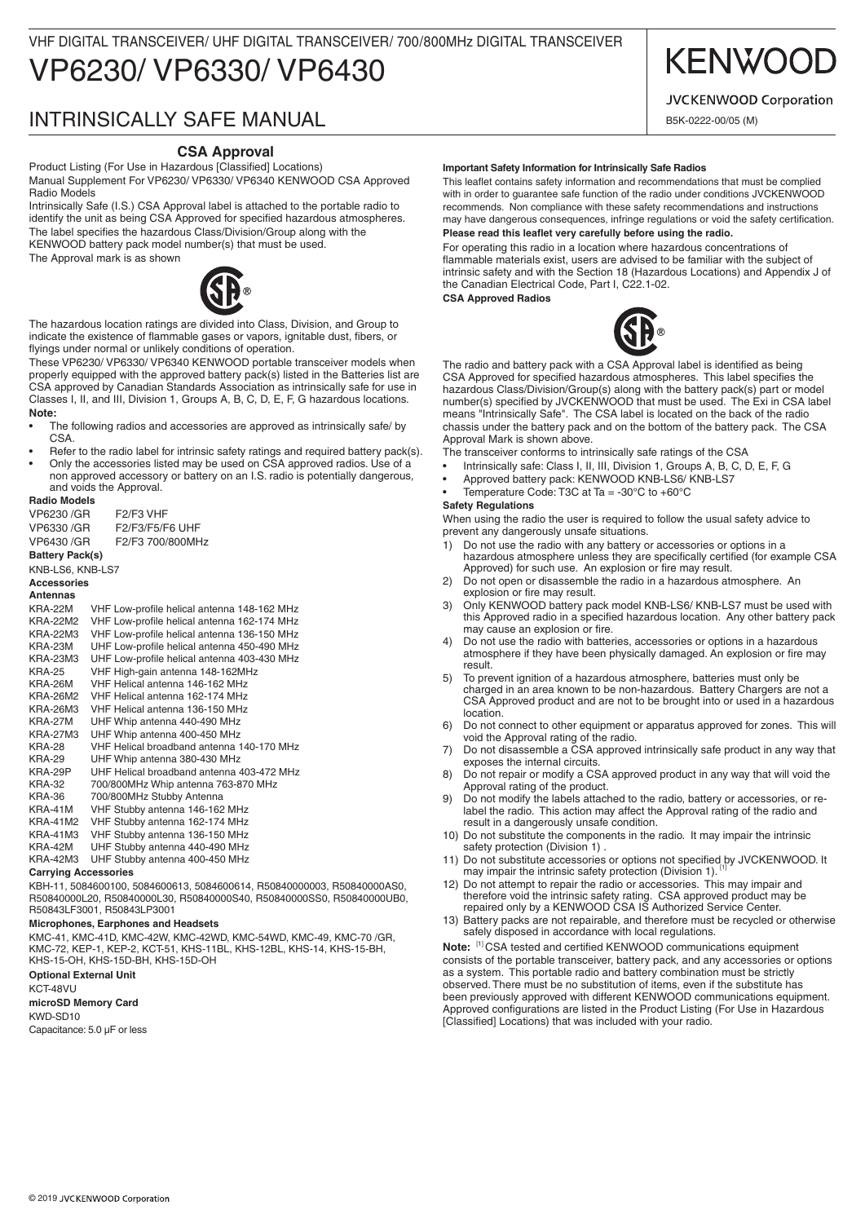# VP6230/ VP6330/ VP6430 VHF DIGITAL TRANSCEIVER/ UHF DIGITAL TRANSCEIVER/ 700/800MHz DIGITAL TRANSCEIVER

# INTRINSICALLY SAFE MANUAL

# **CSA Approval**

Product Listing (For Use in Hazardous [Classified] Locations) Manual Supplement For VP6230/ VP6330/ VP6340 KENWOOD CSA Approved Radio Models

Intrinsically Safe (I.S.) CSA Approval label is attached to the portable radio to identify the unit as being CSA Approved for specified hazardous atmospheres. The label specifies the hazardous Class/Division/Group along with the KENWOOD battery pack model number(s) that must be used.

The Approval mark is as shown



The hazardous location ratings are divided into Class, Division, and Group to indicate the existence of flammable gases or vapors, ignitable dust, fibers, or flyings under normal or unlikely conditions of operation.

These VP6230/ VP6330/ VP6340 KENWOOD portable transceiver models when properly equipped with the approved battery pack(s) listed in the Batteries list are CSA approved by Canadian Standards Association as intrinsically safe for use in Classes I, II, and III, Division 1, Groups A, B, C, D, E, F, G hazardous locations. **Note:** 

- The following radios and accessories are approved as intrinsically safe/ by **CSA**
- Refer to the radio label for intrinsic safety ratings and required battery pack(s).
- Only the accessories listed may be used on CSA approved radios. Use of a non approved accessory or battery on an I.S. radio is potentially dangerous, and voids the Approval.

## **Radio Models**

VP6230 /GR F2/F3 VHF VP6330 /GR F2/F3/F5/F6 UHF VP6430 /GR F2/F3 700/800MHz

**Battery Pack(s)**

## KNB-LS6, KNB-LS7

## **Accessories**

**Antennas**

KRA-22M VHF Low-profile helical antenna 148-162 MHz KRA-22M2 VHF Low-profile helical antenna 162-174 MHz KRA-22M3 VHF Low-profile helical antenna 136-150 MHz KRA-23M UHF Low-profile helical antenna 450-490 MHz KRA-23M3 UHF Low-profile helical antenna 403-430 MHz KRA-25 VHF High-gain antenna 148-162MHz KRA-26M VHF Helical antenna 146-162 MHz VHF Helical antenna 162-174 MHz KRA-26M3 VHF Helical antenna 136-150 MHz UHF Whip antenna 440-490 MHz KRA-27M3 UHF Whip antenna 400-450 MHz KRA-28 VHF Helical broadband antenna 140-170 MHz KRA-29 UHF Whip antenna 380-430 MHz KRA-29P UHF Helical broadband antenna 403-472 MHz 700/800MHz Whip antenna 763-870 MHz KRA-36 700/800MHz Stubby Antenna KRA-41M VHF Stubby antenna 146-162 MHz KRA-41M2 VHF Stubby antenna 162-174 MHz KRA-41M3 VHF Stubby antenna 136-150 MHz UHF Stubby antenna 440-490 MHz KRA-42M3 UHF Stubby antenna 400-450 MHz

### **Carrying Accessories**

KBH-11, 5084600100, 5084600613, 5084600614, R50840000003, R50840000AS0, R50840000L20, R50840000L30, R50840000S40, R50840000SS0, R50840000UB0, R50843LF3001, R50843LP3001

#### **Microphones, Earphones and Headsets**

KMC-41, KMC-41D, KMC-42W, KMC-42WD, KMC-54WD, KMC-49, KMC-70 /GR, KMC-72, KEP-1, KEP-2, KCT-51, KHS-11BL, KHS-12BL, KHS-14, KHS-15-BH, KHS-15-OH, KHS-15D-BH, KHS-15D-OH

# **Optional External Unit**

KCT-48VU **microSD Memory Card**

# KWD-SD10

Capacitance: 5.0 μF or less

#### **Important Safety Information for Intrinsically Safe Radios**

This leaflet contains safety information and recommendations that must be complied with in order to guarantee safe function of the radio under conditions JVCKENWOOD recommends. Non compliance with these safety recommendations and instructions may have dangerous consequences, infringe regulations or void the safety certification. **Please read this leaflet very carefully before using the radio.**

For operating this radio in a location where hazardous concentrations of flammable materials exist, users are advised to be familiar with the subject of intrinsic safety and with the Section 18 (Hazardous Locations) and Appendix J of the Canadian Electrical Code, Part I, C22.1-02.

**CSA Approved Radios**



The radio and battery pack with a CSA Approval label is identified as being CSA Approved for specified hazardous atmospheres. This label specifies the hazardous Class/Division/Group(s) along with the battery pack(s) part or model number(s) specified by JVCKENWOOD that must be used. The Exi in CSA label means "Intrinsically Safe". The CSA label is located on the back of the radio chassis under the battery pack and on the bottom of the battery pack. The CSA Approval Mark is shown above.

The transceiver conforms to intrinsically safe ratings of the CSA

- Intrinsically safe: Class I, II, III, Division 1, Groups A, B, C, D, E, F, G
- • Approved battery pack: KENWOOD KNB-LS6/ KNB-LS7
- Temperature Code: T3C at Ta = -30 $^{\circ}$ C to +60 $^{\circ}$ C

#### **Safety Regulations**

When using the radio the user is required to follow the usual safety advice to prevent any dangerously unsafe situations.

- 1) Do not use the radio with any battery or accessories or options in a hazardous atmosphere unless they are specifically certified (for example CSA Approved) for such use. An explosion or fire may result.
- 2) Do not open or disassemble the radio in a hazardous atmosphere. An explosion or fire may result.
- 3) Only KENWOOD battery pack model KNB-LS6/ KNB-LS7 must be used with this Approved radio in a specified hazardous location. Any other battery pack may cause an explosion or fire.
- 4) Do not use the radio with batteries, accessories or options in a hazardous atmosphere if they have been physically damaged. An explosion or fire may result.
- 5) To prevent ignition of a hazardous atmosphere, batteries must only be charged in an area known to be non-hazardous. Battery Chargers are not a CSA Approved product and are not to be brought into or used in a hazardous location.
- 6) Do not connect to other equipment or apparatus approved for zones. This will void the Approval rating of the radio.
- 7) Do not disassemble a CSA approved intrinsically safe product in any way that exposes the internal circuits.
- 8) Do not repair or modify a CSA approved product in any way that will void the Approval rating of the product.
- 9) Do not modify the labels attached to the radio, battery or accessories, or relabel the radio. This action may affect the Approval rating of the radio and result in a dangerously unsafe condition.
- 10) Do not substitute the components in the radio. It may impair the intrinsic safety protection (Division 1).
- 11) Do not substitute accessories or options not specified by JVCKENWOOD. It may impair the intrinsic safety protection (Division 1).
- 12) Do not attempt to repair the radio or accessories. This may impair and therefore void the intrinsic safety rating. CSA approved product may be repaired only by a KENWOOD CSA IS Authorized Service Center.
- 13) Battery packs are not repairable, and therefore must be recycled or otherwise safely disposed in accordance with local regulations.

**Note:** [1] CSA tested and certified KENWOOD communications equipment consists of the portable transceiver, battery pack, and any accessories or options as a system. This portable radio and battery combination must be strictly observed. There must be no substitution of items, even if the substitute has been previously approved with different KENWOOD communications equipment. Approved configurations are listed in the Product Listing (For Use in Hazardous [Classified] Locations) that was included with your radio.

# **KENWOO**

# **JVCKENWOOD Corporation**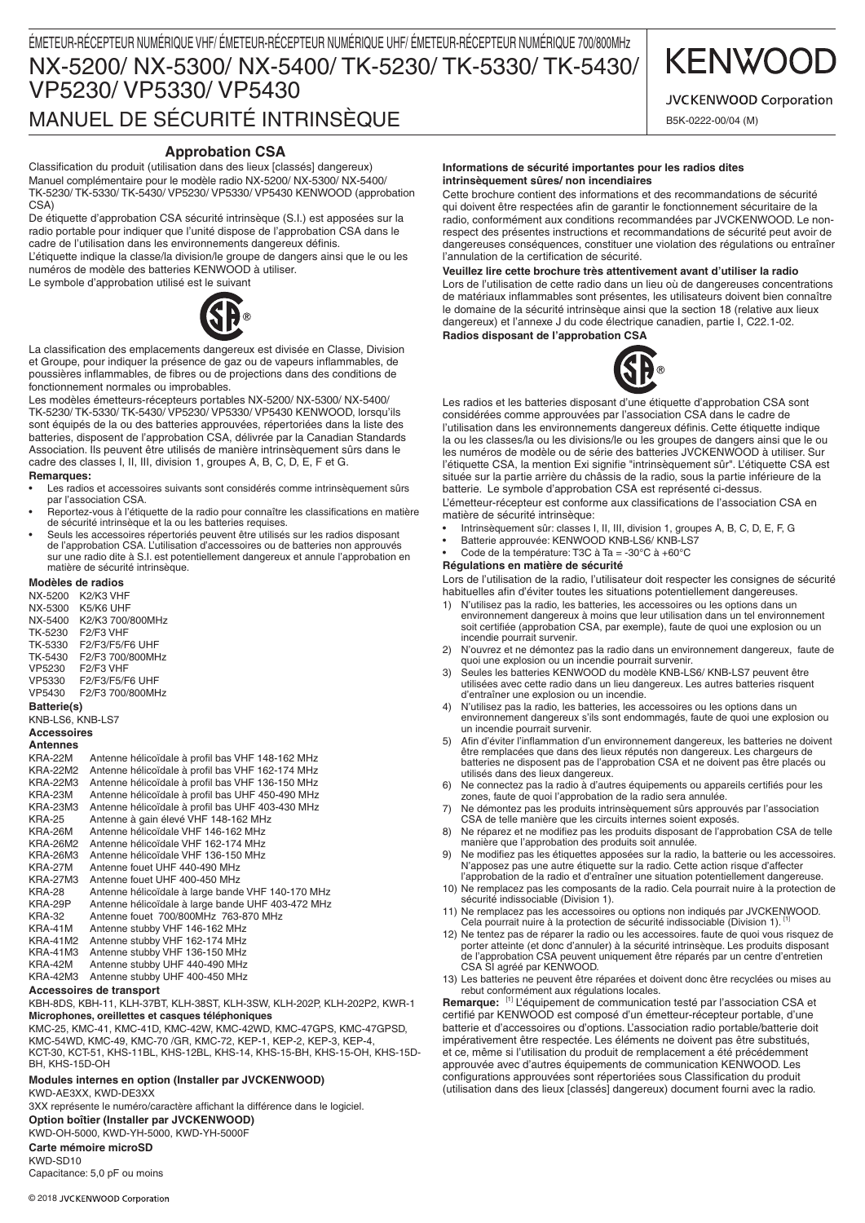# **KENWOO**

**JVCKENWOOD Corporation** 

B5K-0222-00/04 (M)

# **Approbation CSA**

Classification du produit (utilisation dans des lieux [classés] dangereux) Manuel complémentaire pour le modèle radio NX-5200/ NX-5300/ NX-5400/ TK-5230/ TK-5330/ TK-5430/ VP5230/ VP5330/ VP5430 KENWOOD (approbation  $CSA$ 

De étiquette d'approbation CSA sécurité intrinsèque (S.I.) est apposées sur la radio portable pour indiquer que l'unité dispose de l'approbation CSA dans le cadre de l'utilisation dans les environnements dangereux définis.

L'étiquette indique la classe/la division/le groupe de dangers ainsi que le ou les numéros de modèle des batteries KENWOOD à utiliser. Le symbole d'approbation utilisé est le suivant

La classification des emplacements dangereux est divisée en Classe, Division et Groupe, pour indiquer la présence de gaz ou de vapeurs inflammables, de poussières inflammables, de fibres ou de projections dans des conditions de fonctionnement normales ou improbables.

Les modèles émetteurs-récepteurs portables NX-5200/ NX-5300/ NX-5400/ TK-5230/ TK-5330/ TK-5430/ VP5230/ VP5330/ VP5430 KENWOOD, lorsqu'ils sont équipés de la ou des batteries approuvées, répertoriées dans la liste des batteries, disposent de l'approbation CSA, délivrée par la Canadian Standards Association. Ils peuvent être utilisés de manière intrinsèquement sûrs dans le cadre des classes I, II, III, division 1, groupes A, B, C, D, E, F et G.

### **Remarques:**

- Les radios et accessoires suivants sont considérés comme intrinsèquement sûrs par l'association CSA
- • Reportez-vous à l'étiquette de la radio pour connaître les classifications en matière de sécurité intrinsèque et la ou les batteries requises.
- Seuls les accessoires répertoriés peuvent être utilisés sur les radios disposant de l'approbation CSA. L'utilisation d'accessoires ou de batteries non approuvés sur une radio dite à S.I. est potentiellement dangereux et annule l'approbation en matière de sécurité intrinsèque.

### **Modèles de radios**

| NX-5200            | K2/K3 VHF                          |  |
|--------------------|------------------------------------|--|
| NX-5300            | K5/K6 UHF                          |  |
| NX-5400            | K2/K3 700/800MHz                   |  |
| TK-5230            | F <sub>2</sub> /F <sub>3</sub> VHF |  |
| TK-5330            | F2/F3/F5/F6 UHF                    |  |
| TK-5430            | F2/F3 700/800MHz                   |  |
| VP5230             | F2/F3 VHF                          |  |
| VP5330             | F2/F3/F5/F6 UHF                    |  |
| VP5430             | F2/F3 700/800MHz                   |  |
| <b>Battorio(c)</b> |                                    |  |

### **Batterie(s)**

KNB-LS6, KNB-LS7

#### **Accessoires Antennes**

KRA-22M Antenne hélicoïdale à profil bas VHF 148-162 MHz<br>KRA-22M2 Antenne hélicoïdale à profil bas VHF 162-174 MHz Antenne hélicoïdale à profil bas VHF 162-174 MHz KRA-22M3 Antenne hélicoïdale à profil bas VHF 136-150 MHz KRA-23M Antenne hélicoïdale à profil bas UHF 450-490 MHz KRA-23M3 Antenne hélicoïdale à profil bas UHF 403-430 MHz KRA-25 Antenne à gain élevé VHF 148-162 MHz Antenne hélicoïdale VHF 146-162 MHz KRA-26M2 Antenne hélicoïdale VHF 162-174 MHz<br>KRA-26M3 Antenne hélicoïdale VHF 136-150 MHz KRA-26M3 Antenne hélicoïdale VHF 136-150 MHz KRA-27M Antenne fouet UHF 440-490 MHz<br>KRA-27M3 Antenne fouet UHF 400-450 MHz KRA-27M3 Antenne fouet UHF 400-450 MHz<br>KRA-28 Antenne hélicoïdale à large bande KRA-28 Antenne hélicoïdale à large bande VHF 140-170 MHz KRA-29P Antenne hélicoïdale à large bande UHF 403-472 MHz<br>KRA-32 Antenne fouet 700/800MHz 763-870 MHz KRA-32 Antenne fouet 700/800MHz 763-870 MHz Antenne stubby VHF 146-162 MHz KRA-41M2 Antenne stubby VHF 162-174 MHz KRA-41M3 Antenne stubby VHF 136-150 MHz KRA-42M Antenne stubby UHF 440-490 MHz KRA-42M3 Antenne stubby UHF 400-450 MHz

## **Accessoires de transport**

KBH-8DS, KBH-11, KLH-37BT, KLH-38ST, KLH-3SW, KLH-202P, KLH-202P2, KWR-1 **Microphones, oreillettes et casques téléphoniques**

KMC-25, KMC-41, KMC-41D, KMC-42W, KMC-42WD, KMC-47GPS, KMC-47GPSD, KMC-54WD, KMC-49, KMC-70 /GR, KMC-72, KEP-1, KEP-2, KEP-3, KEP-4, KCT-30, KCT-51, KHS-11BL, KHS-12BL, KHS-14, KHS-15-BH, KHS-15-OH, KHS-15D-BH, KHS-15D-OH

#### **Modules internes en option (Installer par JVCKENWOOD)** KWD-AE3XX, KWD-DE3XX

3XX représente le numéro/caractère affichant la différence dans le logiciel. **Option boîtier (Installer par JVCKENWOOD)** KWD-OH-5000, KWD-YH-5000, KWD-YH-5000F **Carte mémoire microSD** KWD-SD10 Capacitance: 5,0 pF ou moins

#### **Informations de sécurité importantes pour les radios dites intrinsèquement sûres/ non incendiaires**

Cette brochure contient des informations et des recommandations de sécurité qui doivent être respectées afin de garantir le fonctionnement sécuritaire de la radio, conformément aux conditions recommandées par JVCKENWOOD. Le nonrespect des présentes instructions et recommandations de sécurité peut avoir de dangereuses conséquences, constituer une violation des régulations ou entraîner l'annulation de la certification de sécurité.

### **Veuillez lire cette brochure très attentivement avant d'utiliser la radio**

Lors de l'utilisation de cette radio dans un lieu où de dangereuses concentrations de matériaux inflammables sont présentes, les utilisateurs doivent bien connaître le domaine de la sécurité intrinsèque ainsi que la section 18 (relative aux lieux dangereux) et l'annexe J du code électrique canadien, partie I, C22.1-02. **Radios disposant de l'approbation CSA**



Les radios et les batteries disposant d'une étiquette d'approbation CSA sont considérées comme approuvées par l'association CSA dans le cadre de l'utilisation dans les environnements dangereux définis. Cette étiquette indique la ou les classes/la ou les divisions/le ou les groupes de dangers ainsi que le ou les numéros de modèle ou de série des batteries JVCKENWOOD à utiliser. Sur l'étiquette CSA, la mention Exi signifie "intrinsèquement sûr". L'étiquette CSA est située sur la partie arrière du châssis de la radio, sous la partie inférieure de la batterie. Le symbole d'approbation CSA est représenté ci-dessus.

L'émetteur-récepteur est conforme aux classifications de l'association CSA en matière de sécurité intrinsèque:

- Intrinsèquement sûr: classes I, II, III, division 1, groupes A, B, C, D, E, F, G
- Batterie approuvée: KENWOOD KNB-LS6/ KNB-LS7
- Code de la température: T3C à Ta = -30 $^{\circ}$ C à +60 $^{\circ}$ C

# **Régulations en matière de sécurité**

Lors de l'utilisation de la radio, l'utilisateur doit respecter les consignes de sécurité habituelles afin d'éviter toutes les situations potentiellement dangereuses.

- 1) N'utilisez pas la radio, les batteries, les accessoires ou les options dans un environnement dangereux à moins que leur utilisation dans un tel environnement soit certifiée (approbation CSA, par exemple), faute de quoi une explosion ou un incendie pourrait survenir.
- 2) N'ouvrez et ne démontez pas la radio dans un environnement dangereux, faute de quoi une explosion ou un incendie pourrait survenir.
- 3) Seules les batteries KENWOOD du modèle KNB-LS6/ KNB-LS7 peuvent être utilisées avec cette radio dans un lieu dangereux. Les autres batteries risquent d'entraîner une explosion ou un incendie.
- 4) N'utilisez pas la radio, les batteries, les accessoires ou les options dans un environnement dangereux s'ils sont endommagés, faute de quoi une explosion ou un incendie pourrait survenir.
- 5) Afin d'éviter l'inflammation d'un environnement dangereux, les batteries ne doivent être remplacées que dans des lieux réputés non dangereux. Les chargeurs de batteries ne disposent pas de l'approbation CSA et ne doivent pas être placés ou utilisés dans des lieux dangereux.
- 6) Ne connectez pas la radio à d'autres équipements ou appareils certifiés pour les zones, faute de quoi l'approbation de la radio sera annulée.
- 7) Ne démontez pas les produits intrinsèquement sûrs approuvés par l'association CSA de telle manière que les circuits internes soient exposés.
- 8) Ne réparez et ne modifiez pas les produits disposant de l'approbation CSA de telle manière que l'approbation des produits soit annulée.
- 9) Ne modifiez pas les étiquettes apposées sur la radio, la batterie ou les accessoires. N'apposez pas une autre étiquette sur la radio. Cette action risque d'affecter l'approbation de la radio et d'entraîner une situation potentiellement dangereuse.
- 10) Ne remplacez pas les composants de la radio. Cela pourrait nuire à la protection de sécurité indissociable (Division 1).
- 11) Ne remplacez pas les accessoires ou options non indiqués par JVCKENWOOD.<br>Cela pourrait nuire à la protection de sécurité indissociable (Division 1).<sup>[1]</sup>
- 12) Ne tentez pas de réparer la radio ou les accessoires. faute de quoi vous risquez de porter atteinte (et donc d'annuler) à la sécurité intrinsèque. Les produits disposant de l'approbation CSA peuvent uniquement être réparés par un centre d'entretien CSA SI agréé par KENWOOD.
- 13) Les batteries ne peuvent être réparées et doivent donc être recyclées ou mises au rebut conformément aux régulations locales.

**Remarque:** [1] L'équipement de communication testé par l'association CSA et certifié par KENWOOD est composé d'un émetteur-récepteur portable, d'une batterie et d'accessoires ou d'options. L'association radio portable/batterie doit impérativement être respectée. Les éléments ne doivent pas être substitués, et ce, même si l'utilisation du produit de remplacement a été précédemment approuvée avec d'autres équipements de communication KENWOOD. Les configurations approuvées sont répertoriées sous Classification du produit (utilisation dans des lieux [classés] dangereux) document fourni avec la radio.